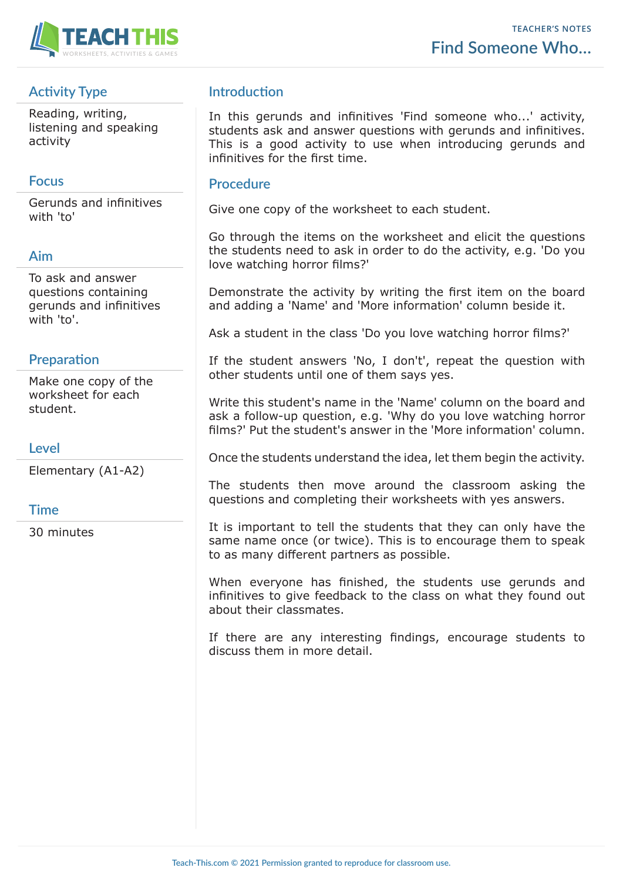

# **Activity Type**

Reading, writing, listening and speaking activity

#### **Focus**

Gerunds and infinitives with 'to'

# **Aim**

To ask and answer questions containing gerunds and infinitives with 'to'.

#### **Preparation**

Make one copy of the worksheet for each student.

## **Level**

Elementary (A1-A2)

#### **Time**

30 minutes

# **Introduction**

In this gerunds and infinitives 'Find someone who...' activity, students ask and answer questions with gerunds and infinitives. This is a good activity to use when introducing gerunds and infinitives for the first time.

#### **Procedure**

Give one copy of the worksheet to each student.

Go through the items on the worksheet and elicit the questions the students need to ask in order to do the activity, e.g. 'Do you love watching horror films?'

Demonstrate the activity by writing the first item on the board and adding a 'Name' and 'More information' column beside it.

Ask a student in the class 'Do you love watching horror films?'

If the student answers 'No, I don't', repeat the question with other students until one of them says yes.

Write this student's name in the 'Name' column on the board and ask a follow-up question, e.g. 'Why do you love watching horror films?' Put the student's answer in the 'More information' column.

Once the students understand the idea, let them begin the activity.

The students then move around the classroom asking the questions and completing their worksheets with yes answers.

It is important to tell the students that they can only have the same name once (or twice). This is to encourage them to speak to as many different partners as possible.

When everyone has finished, the students use gerunds and infinitives to give feedback to the class on what they found out about their classmates.

If there are any interesting findings, encourage students to discuss them in more detail.